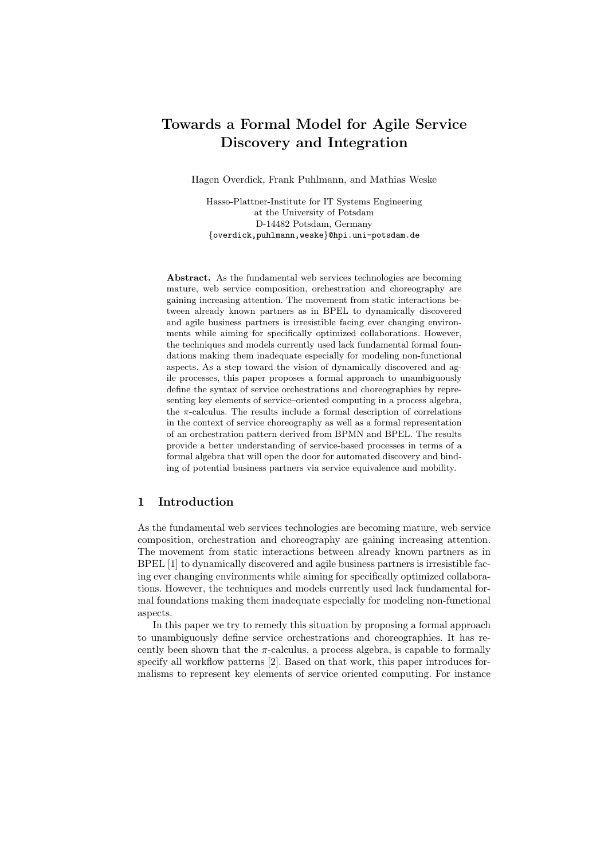# Towards a Formal Model for Agile Service Discovery and Integration

Hagen Overdick, Frank Puhlmann, and Mathias Weske

Hasso-Plattner-Institute for IT Systems Engineering at the University of Potsdam D-14482 Potsdam, Germany {overdick,puhlmann,weske}@hpi.uni-potsdam.de

Abstract. As the fundamental web services technologies are becoming mature, web service composition, orchestration and choreography are gaining increasing attention. The movement from static interactions between already known partners as in BPEL to dynamically discovered and agile business partners is irresistible facing ever changing environments while aiming for specifically optimized collaborations. However, the techniques and models currently used lack fundamental formal foundations making them inadequate especially for modeling non-functional aspects. As a step toward the vision of dynamically discovered and agile processes, this paper proposes a formal approach to unambiguously define the syntax of service orchestrations and choreographies by representing key elements of service–oriented computing in a process algebra, the  $\pi$ -calculus. The results include a formal description of correlations in the context of service choreography as well as a formal representation of an orchestration pattern derived from BPMN and BPEL. The results provide a better understanding of service-based processes in terms of a formal algebra that will open the door for automated discovery and binding of potential business partners via service equivalence and mobility.

# 1 Introduction

As the fundamental web services technologies are becoming mature, web service composition, orchestration and choreography are gaining increasing attention. The movement from static interactions between already known partners as in BPEL [1] to dynamically discovered and agile business partners is irresistible facing ever changing environments while aiming for specifically optimized collaborations. However, the techniques and models currently used lack fundamental formal foundations making them inadequate especially for modeling non-functional aspects.

In this paper we try to remedy this situation by proposing a formal approach to unambiguously define service orchestrations and choreographies. It has recently been shown that the  $\pi$ -calculus, a process algebra, is capable to formally specify all workflow patterns [2]. Based on that work, this paper introduces formalisms to represent key elements of service oriented computing. For instance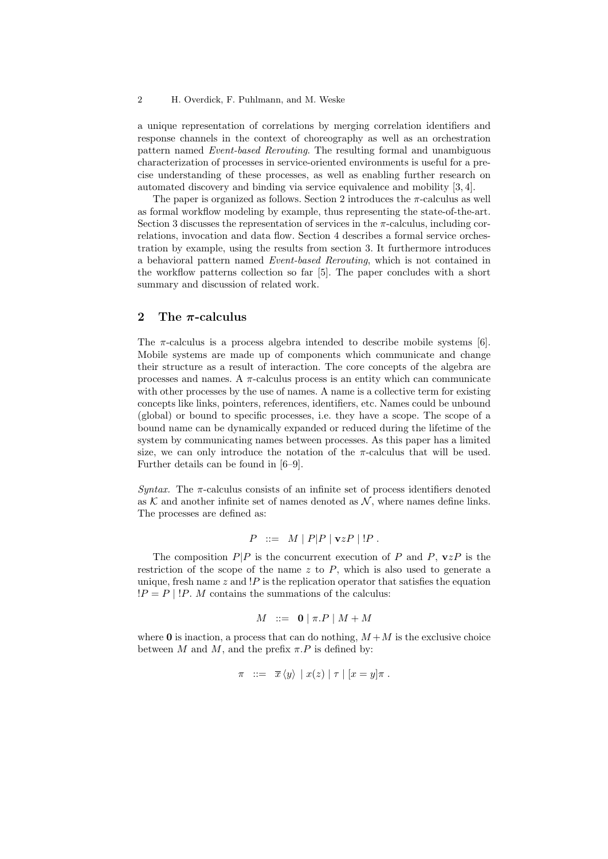a unique representation of correlations by merging correlation identifiers and response channels in the context of choreography as well as an orchestration pattern named Event-based Rerouting. The resulting formal and unambiguous characterization of processes in service-oriented environments is useful for a precise understanding of these processes, as well as enabling further research on automated discovery and binding via service equivalence and mobility [3, 4].

The paper is organized as follows. Section 2 introduces the  $\pi$ -calculus as well as formal workflow modeling by example, thus representing the state-of-the-art. Section 3 discusses the representation of services in the  $\pi$ -calculus, including correlations, invocation and data flow. Section 4 describes a formal service orchestration by example, using the results from section 3. It furthermore introduces a behavioral pattern named Event-based Rerouting, which is not contained in the workflow patterns collection so far [5]. The paper concludes with a short summary and discussion of related work.

### 2 The  $\pi$ -calculus

The  $\pi$ -calculus is a process algebra intended to describe mobile systems [6]. Mobile systems are made up of components which communicate and change their structure as a result of interaction. The core concepts of the algebra are processes and names. A  $\pi$ -calculus process is an entity which can communicate with other processes by the use of names. A name is a collective term for existing concepts like links, pointers, references, identifiers, etc. Names could be unbound (global) or bound to specific processes, i.e. they have a scope. The scope of a bound name can be dynamically expanded or reduced during the lifetime of the system by communicating names between processes. As this paper has a limited size, we can only introduce the notation of the  $\pi$ -calculus that will be used. Further details can be found in [6–9].

Syntax. The  $\pi$ -calculus consists of an infinite set of process identifiers denoted as K and another infinite set of names denoted as  $\mathcal{N}$ , where names define links. The processes are defined as:

$$
P ::= M | P|P | \mathbf{v}zP | !P.
$$

The composition  $P|P$  is the concurrent execution of P and P,  $vzP$  is the restriction of the scope of the name z to  $P$ , which is also used to generate a unique, fresh name  $z$  and  $P$  is the replication operator that satisfies the equation  $!P = P \mid !P$ . M contains the summations of the calculus:

$$
M \ ::= \ \mathbf{0} \mid \pi.P \mid M + M
$$

where 0 is inaction, a process that can do nothing,  $M + M$  is the exclusive choice between M and M, and the prefix  $\pi.P$  is defined by:

$$
\pi \quad ::= \quad \overline{x} \, \langle y \rangle \, \mid x(z) \mid \tau \mid [x = y] \pi \; .
$$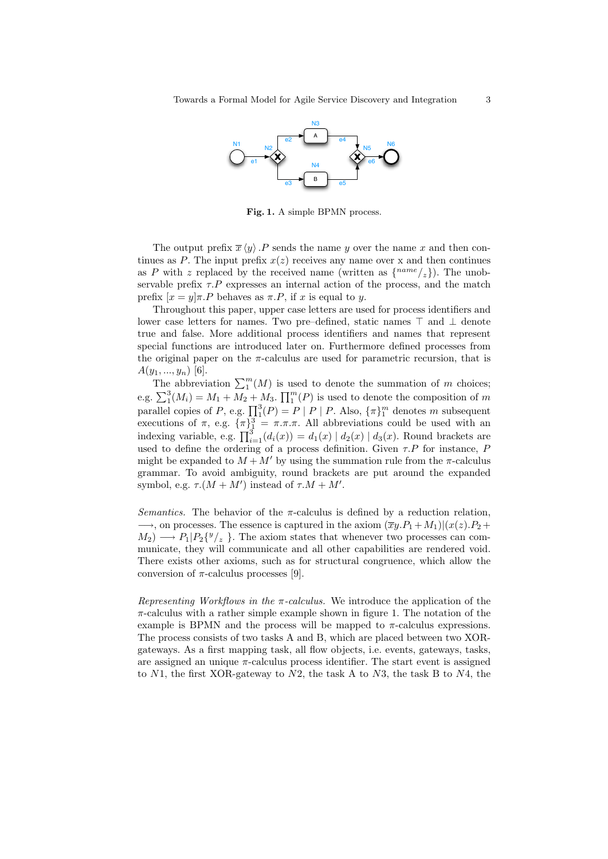

Fig. 1. A simple BPMN process.

The output prefix  $\bar{x} \langle y \rangle$ . P sends the name y over the name x and then continues as P. The input prefix  $x(z)$  receives any name over x and then continues as P with z replaced by the received name (written as  $\{^{name}(z)\}\)$ . The unobservable prefix  $\tau.P$  expresses an internal action of the process, and the match prefix  $[x = y]\pi.P$  behaves as  $\pi.P$ , if x is equal to y.

Throughout this paper, upper case letters are used for process identifiers and lower case letters for names. Two pre–defined, static names  $\top$  and  $\bot$  denote true and false. More additional process identifiers and names that represent special functions are introduced later on. Furthermore defined processes from the original paper on the  $\pi$ -calculus are used for parametric recursion, that is  $A(y_1, ..., y_n)$  [6].

The abbreviation  $\sum_{1}^{m}(M)$  is used to denote the summation of m choices; e.g.  $\sum_{1}^{3}$  $(M_i) = M_1 + M_2 + M_3$ .  $\prod_{1}^{m}(P)$  is used to denote the composition of m parallel copies of P, e.g.  $\prod_{1}^{3}(P) = P | P | P$ . Also,  $\{\pi\}_{1}^{m}$  denotes m subsequent executions of  $\pi$ , e.g.  ${\lbrace \pi \rbrace}^3$  =  ${\pi}.\pi.\pi$ . All abbreviations could be used with an indexing variable, e.g.  $\prod_{i=1}^{3} (d_i(x)) = d_1(x) | d_2(x) | d_3(x)$ . Round brackets are used to define the ordering of a process definition. Given  $\tau.P$  for instance, P might be expanded to  $M + M'$  by using the summation rule from the  $\pi$ -calculus grammar. To avoid ambiguity, round brackets are put around the expanded symbol, e.g.  $\tau.(M + M')$  instead of  $\tau.M + M'$ .

Semantics. The behavior of the  $\pi$ -calculus is defined by a reduction relation.  $\longrightarrow$ , on processes. The essence is captured in the axiom  $(\overline{xy}.P_1 + M_1)|(x(z).P_2 +$  $M_2$   $\longrightarrow$   $P_1|P_2\{^y/_z\}$ . The axiom states that whenever two processes can communicate, they will communicate and all other capabilities are rendered void. There exists other axioms, such as for structural congruence, which allow the conversion of  $\pi$ -calculus processes [9].

Representing Workflows in the  $\pi$ -calculus. We introduce the application of the  $\pi$ -calculus with a rather simple example shown in figure 1. The notation of the example is BPMN and the process will be mapped to  $\pi$ -calculus expressions. The process consists of two tasks A and B, which are placed between two XORgateways. As a first mapping task, all flow objects, i.e. events, gateways, tasks, are assigned an unique  $\pi$ -calculus process identifier. The start event is assigned to  $N1$ , the first XOR-gateway to  $N2$ , the task A to  $N3$ , the task B to  $N4$ , the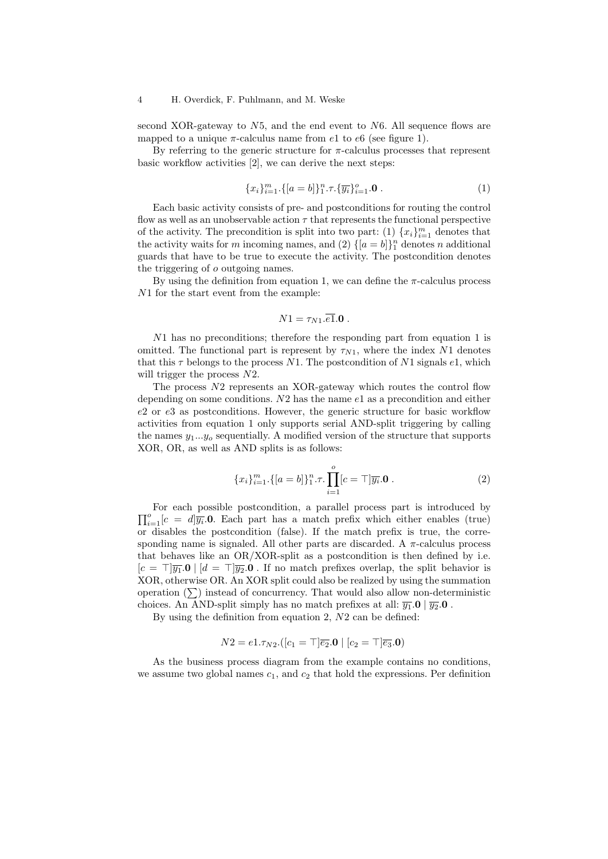second XOR-gateway to  $N5$ , and the end event to  $N6$ . All sequence flows are mapped to a unique  $\pi$ -calculus name from e1 to e6 (see figure 1).

By referring to the generic structure for  $\pi$ -calculus processes that represent basic workflow activities [2], we can derive the next steps:

$$
\{x_i\}_{i=1}^m \cdot \{[a=b]\}_{1}^n \cdot \tau \cdot \{\overline{y_i}\}_{i=1}^o \cdot \mathbf{0} \tag{1}
$$

Each basic activity consists of pre- and postconditions for routing the control flow as well as an unobservable action  $\tau$  that represents the functional perspective of the activity. The precondition is split into two part: (1)  ${x_i}_{i=1}^m$  denotes that the activity waits for *m* incoming names, and (2)  $\{[a = b]\}_1^n$  denotes *n* additional guards that have to be true to execute the activity. The postcondition denotes the triggering of o outgoing names.

By using the definition from equation 1, we can define the  $\pi$ -calculus process N1 for the start event from the example:

$$
N1=\tau_{N1}.\overline{e1}.0.
$$

N1 has no preconditions; therefore the responding part from equation 1 is omitted. The functional part is represent by  $\tau_{N1}$ , where the index N1 denotes that this  $\tau$  belongs to the process N1. The postcondition of N1 signals e1, which will trigger the process  $N2$ .

The process N2 represents an XOR-gateway which routes the control flow depending on some conditions.  $N2$  has the name  $e1$  as a precondition and either e2 or e3 as postconditions. However, the generic structure for basic workflow activities from equation 1 only supports serial AND-split triggering by calling the names  $y_1...y_o$  sequentially. A modified version of the structure that supports XOR, OR, as well as AND splits is as follows:

$$
\{x_i\}_{i=1}^m \cdot \{[a=b]\}_1^n \cdot \tau \cdot \prod_{i=1}^o [c=\top] \overline{y_i} . \mathbf{0} . \tag{2}
$$

 $\prod_{i=1}^{o} [c = d] \overline{y_i}$ . Each part has a match prefix which either enables (true) For each possible postcondition, a parallel process part is introduced by or disables the postcondition (false). If the match prefix is true, the corresponding name is signaled. All other parts are discarded. A  $\pi$ -calculus process that behaves like an OR/XOR-split as a postcondition is then defined by i.e.  $[c = \top \overline{y_1} \cdot \mathbf{0} \mid [d = \top] \overline{y_2} \cdot \mathbf{0}$ . If no match prefixes overlap, the split behavior is XOR, otherwise OR. An XOR split could also be realized by using the summation operation  $(\sum)$  instead of concurrency. That would also allow non-deterministic choices. An AND-split simply has no match prefixes at all:  $\overline{y_1}.\mathbf{0}$  |  $\overline{y_2}.\mathbf{0}$ .

By using the definition from equation 2, N2 can be defined:

$$
N2 = e1.\tau_{N2}.([c_1 = \top] \overline{e_2}.0 \mid [c_2 = \top] \overline{e_3}.0)
$$

As the business process diagram from the example contains no conditions, we assume two global names  $c_1$ , and  $c_2$  that hold the expressions. Per definition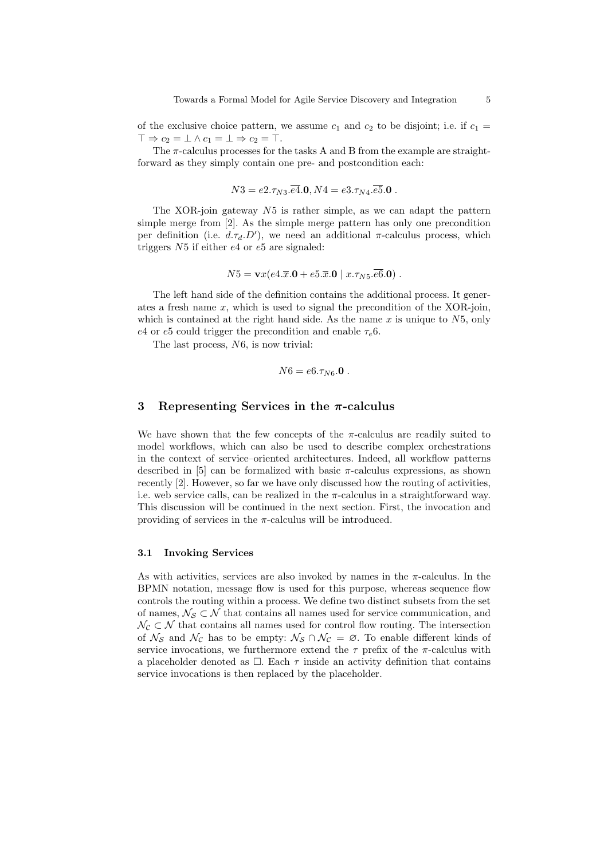of the exclusive choice pattern, we assume  $c_1$  and  $c_2$  to be disjoint; i.e. if  $c_1 =$  $\top \Rightarrow c_2 = \bot \wedge c_1 = \bot \Rightarrow c_2 = \top.$ 

The  $\pi$ -calculus processes for the tasks A and B from the example are straightforward as they simply contain one pre- and postcondition each:

$$
N3 = e2.\tau_{N3}.\overline{e4}.0, N4 = e3.\tau_{N4}.\overline{e5}.0.
$$

The XOR-join gateway  $N5$  is rather simple, as we can adapt the pattern simple merge from [2]. As the simple merge pattern has only one precondition per definition (i.e.  $d.\tau_d.D'$ ), we need an additional  $\pi$ -calculus process, which triggers N5 if either e4 or e5 are signaled:

$$
N5 = \mathbf{v}x(e4.\overline{x}.\mathbf{0} + e5.\overline{x}.\mathbf{0} | x.\tau_{N5}.\overline{e6}.\mathbf{0}).
$$

The left hand side of the definition contains the additional process. It generates a fresh name  $x$ , which is used to signal the precondition of the XOR-join, which is contained at the right hand side. As the name  $x$  is unique to  $N5$ , only e4 or e5 could trigger the precondition and enable  $\tau_e$ 6.

The last process, N6, is now trivial:

$$
N6 = e6.\tau_{N6}.\mathbf{0}.
$$

### 3 Representing Services in the  $\pi$ -calculus

We have shown that the few concepts of the  $\pi$ -calculus are readily suited to model workflows, which can also be used to describe complex orchestrations in the context of service–oriented architectures. Indeed, all workflow patterns described in [5] can be formalized with basic  $\pi$ -calculus expressions, as shown recently [2]. However, so far we have only discussed how the routing of activities, i.e. web service calls, can be realized in the  $\pi$ -calculus in a straightforward way. This discussion will be continued in the next section. First, the invocation and providing of services in the  $\pi$ -calculus will be introduced.

### 3.1 Invoking Services

As with activities, services are also invoked by names in the  $\pi$ -calculus. In the BPMN notation, message flow is used for this purpose, whereas sequence flow controls the routing within a process. We define two distinct subsets from the set of names,  $\mathcal{N}_{\mathcal{S}} \subset \mathcal{N}$  that contains all names used for service communication, and  $\mathcal{N}_{\mathcal{C}} \subset \mathcal{N}$  that contains all names used for control flow routing. The intersection of  $\mathcal{N}_{\mathcal{S}}$  and  $\mathcal{N}_{\mathcal{C}}$  has to be empty:  $\mathcal{N}_{\mathcal{S}} \cap \mathcal{N}_{\mathcal{C}} = \emptyset$ . To enable different kinds of service invocations, we furthermore extend the  $\tau$  prefix of the  $\pi$ -calculus with a placeholder denoted as  $\Box$ . Each  $\tau$  inside an activity definition that contains service invocations is then replaced by the placeholder.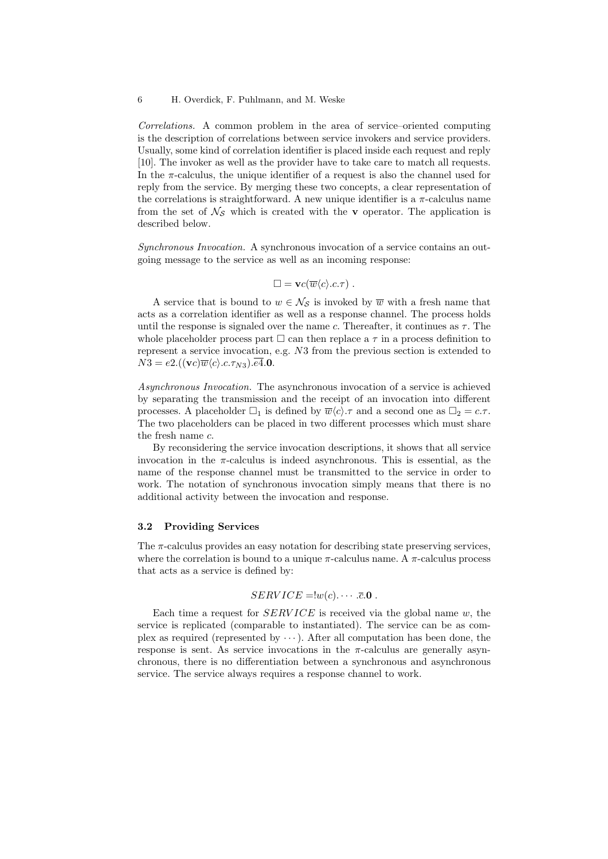Correlations. A common problem in the area of service–oriented computing is the description of correlations between service invokers and service providers. Usually, some kind of correlation identifier is placed inside each request and reply [10]. The invoker as well as the provider have to take care to match all requests. In the  $\pi$ -calculus, the unique identifier of a request is also the channel used for reply from the service. By merging these two concepts, a clear representation of the correlations is straightforward. A new unique identifier is a  $\pi$ -calculus name from the set of  $\mathcal{N}_{\mathcal{S}}$  which is created with the **v** operator. The application is described below.

Synchronous Invocation. A synchronous invocation of a service contains an outgoing message to the service as well as an incoming response:

$$
\Box = \mathbf{v}c(\overline{w}\langle c \rangle.c.\tau) .
$$

A service that is bound to  $w \in \mathcal{N}_{\mathcal{S}}$  is invoked by  $\overline{w}$  with a fresh name that acts as a correlation identifier as well as a response channel. The process holds until the response is signaled over the name c. Thereafter, it continues as  $\tau$ . The whole placeholder process part  $\Box$  can then replace a  $\tau$  in a process definition to represent a service invocation, e.g. N3 from the previous section is extended to  $N3 = e2.((\mathbf{v}c)\overline{w}\langle c\rangle.c.\tau_{N3}).\overline{e4}.0.$ 

Asynchronous Invocation. The asynchronous invocation of a service is achieved by separating the transmission and the receipt of an invocation into different processes. A placeholder  $\square_1$  is defined by  $\overline{w}\langle c \rangle \tau$  and a second one as  $\square_2 = c \tau$ . The two placeholders can be placed in two different processes which must share the fresh name c.

By reconsidering the service invocation descriptions, it shows that all service invocation in the  $\pi$ -calculus is indeed asynchronous. This is essential, as the name of the response channel must be transmitted to the service in order to work. The notation of synchronous invocation simply means that there is no additional activity between the invocation and response.

### 3.2 Providing Services

The  $\pi$ -calculus provides an easy notation for describing state preserving services, where the correlation is bound to a unique  $\pi$ -calculus name. A  $\pi$ -calculus process that acts as a service is defined by:

# $SERVICE = !w(c)$ .  $\cdots$  .  $\overline{c}$ .0.

Each time a request for  $SERVICE$  is received via the global name w, the service is replicated (comparable to instantiated). The service can be as complex as required (represented by  $\cdots$ ). After all computation has been done, the response is sent. As service invocations in the  $\pi$ -calculus are generally asynchronous, there is no differentiation between a synchronous and asynchronous service. The service always requires a response channel to work.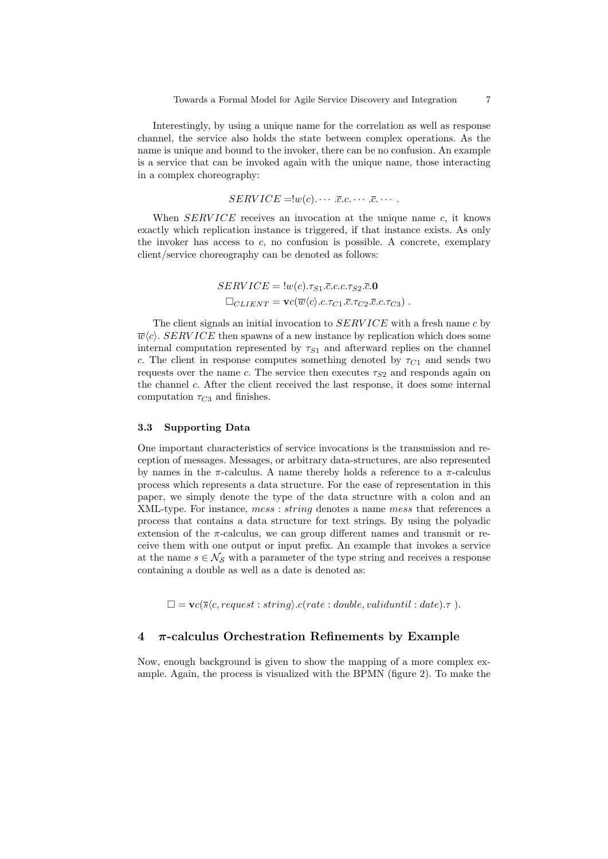Interestingly, by using a unique name for the correlation as well as response channel, the service also holds the state between complex operations. As the name is unique and bound to the invoker, there can be no confusion. An example is a service that can be invoked again with the unique name, those interacting in a complex choreography:

$$
SERVICE = \{w(c), \cdots .\overline{c}.c. \cdots .\overline{c}. \cdots.
$$

When  $SERVICE$  receives an invocation at the unique name  $c$ , it knows exactly which replication instance is triggered, if that instance exists. As only the invoker has access to c, no confusion is possible. A concrete, exemplary client/service choreography can be denoted as follows:

> $SERVICE = \frac{1}{w(c). \tau_{S1}.\bar{c}.c.c. \tau_{S2}.\bar{c}.0}$  $\square_{CLIENT} = \mathbf{v}c(\overline{w}\langle c \rangle.c.\tau_{C1}.\overline{c}.\tau_{C2}.\overline{c}.c.\tau_{C3})$ .

The client signals an initial invocation to  $SERVICE$  with a fresh name c by  $\overline{w}\langle c \rangle$ . SERVICE then spawns of a new instance by replication which does some internal computation represented by  $\tau_{S1}$  and afterward replies on the channel c. The client in response computes something denoted by  $\tau_{C1}$  and sends two requests over the name c. The service then executes  $\tau_{S2}$  and responds again on the channel c. After the client received the last response, it does some internal computation  $\tau_{C3}$  and finishes.

### 3.3 Supporting Data

One important characteristics of service invocations is the transmission and reception of messages. Messages, or arbitrary data-structures, are also represented by names in the  $\pi$ -calculus. A name thereby holds a reference to a  $\pi$ -calculus process which represents a data structure. For the ease of representation in this paper, we simply denote the type of the data structure with a colon and an XML-type. For instance, mess: string denotes a name mess that references a process that contains a data structure for text strings. By using the polyadic extension of the  $\pi$ -calculus, we can group different names and transmit or receive them with one output or input prefix. An example that invokes a service at the name  $s \in \mathcal{N}_{\mathcal{S}}$  with a parameter of the type string and receives a response containing a double as well as a date is denoted as:

 $\square = \mathbf{v}c(\overline{s}\langle c, request : string \rangle.c(\text{rate} : double, valid until : date). \tau).$ 

## 4  $\pi$ -calculus Orchestration Refinements by Example

Now, enough background is given to show the mapping of a more complex example. Again, the process is visualized with the BPMN (figure 2). To make the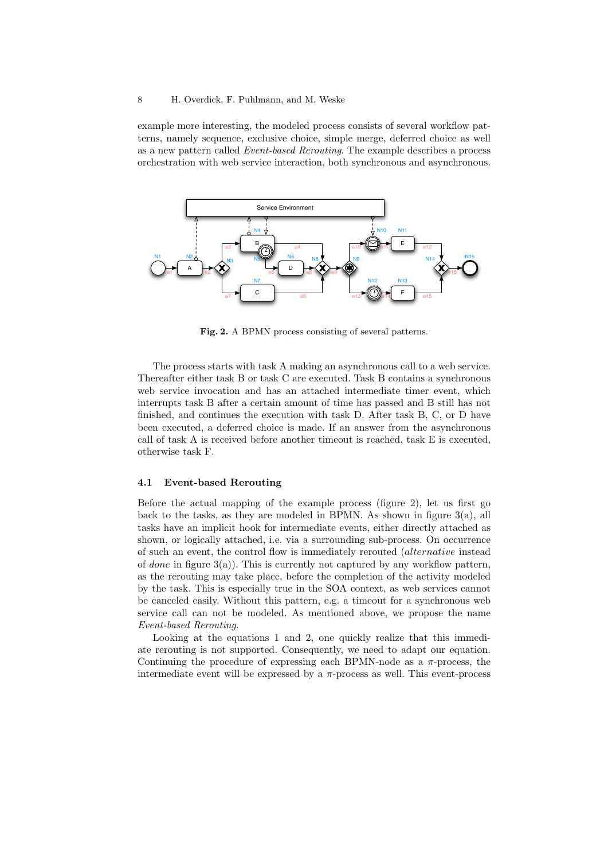example more interesting, the modeled process consists of several workflow patterns, namely sequence, exclusive choice, simple merge, deferred choice as well as a new pattern called Event-based Rerouting. The example describes a process orchestration with web service interaction, both synchronous and asynchronous.



Fig. 2. A BPMN process consisting of several patterns.

The process starts with task A making an asynchronous call to a web service. Thereafter either task B or task C are executed. Task B contains a synchronous web service invocation and has an attached intermediate timer event, which interrupts task B after a certain amount of time has passed and B still has not finished, and continues the execution with task D. After task B, C, or D have been executed, a deferred choice is made. If an answer from the asynchronous call of task A is received before another timeout is reached, task E is executed, otherwise task F.

#### 4.1 Event-based Rerouting

Before the actual mapping of the example process (figure 2), let us first go back to the tasks, as they are modeled in BPMN. As shown in figure  $3(a)$ , all tasks have an implicit hook for intermediate events, either directly attached as shown, or logically attached, i.e. via a surrounding sub-process. On occurrence of such an event, the control flow is immediately rerouted (alternative instead of *done* in figure  $3(a)$ ). This is currently not captured by any workflow pattern, as the rerouting may take place, before the completion of the activity modeled by the task. This is especially true in the SOA context, as web services cannot be canceled easily. Without this pattern, e.g. a timeout for a synchronous web service call can not be modeled. As mentioned above, we propose the name Event-based Rerouting.

Looking at the equations 1 and 2, one quickly realize that this immediate rerouting is not supported. Consequently, we need to adapt our equation. Continuing the procedure of expressing each BPMN-node as a  $\pi$ -process, the intermediate event will be expressed by a  $\pi$ -process as well. This event-process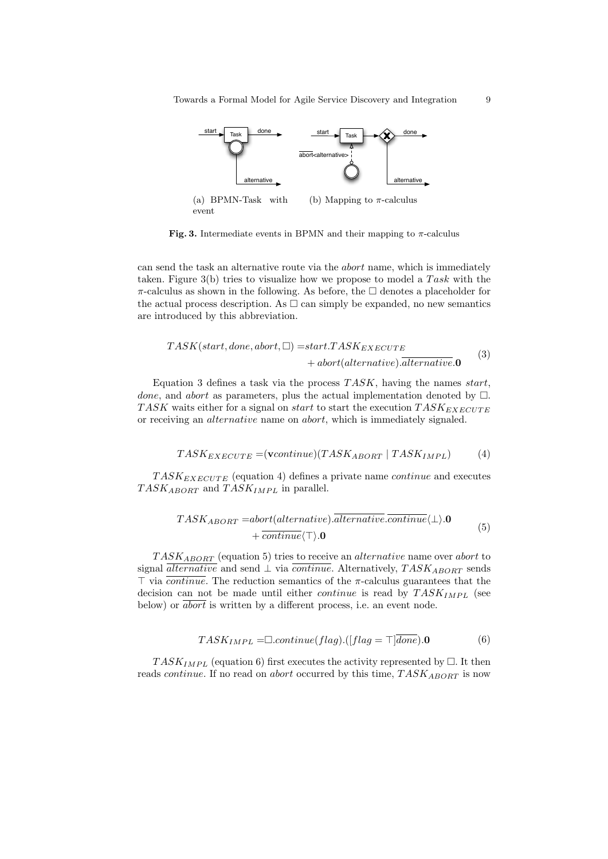

event

Fig. 3. Intermediate events in BPMN and their mapping to  $\pi$ -calculus

can send the task an alternative route via the abort name, which is immediately taken. Figure  $3(b)$  tries to visualize how we propose to model a Task with the  $\pi$ -calculus as shown in the following. As before, the  $\Box$  denotes a placeholder for the actual process description. As  $\Box$  can simply be expanded, no new semantics are introduced by this abbreviation.

$$
TASK(start, done, abort, \Box) = start.TASK_{EXECUTE}
$$
  
+ 
$$
abort(alternative).alternative.0
$$
 (3)

Equation 3 defines a task via the process  $TASK$ , having the names start, done, and abort as parameters, plus the actual implementation denoted by  $\square$ . TASK waits either for a signal on *start* to start the execution  $TASK_{EXECUTE}$ or receiving an alternative name on abort, which is immediately signaled.

$$
TASK_{EXECUTE} = (vcontinue)(TASK_{ABORT} | TASK_{IMPL})
$$
 (4)

 $TASK_{EXECUTE}$  (equation 4) defines a private name *continue* and executes  $TASK_{ABORT}$  and  $TASK_{IMPL}$  in parallel.

$$
TASK_{ABORT} = abort(alternative). \overline{alternative.continue} \langle \perp \rangle. \mathbf{0} + \overline{continue} \langle \perp \rangle. \mathbf{0}
$$
\n
$$
(5)
$$

 $TASK_{ABORT}$  (equation 5) tries to receive an *alternative* name over *abort* to signal *alternative* and send  $\perp$  via *continue*. Alternatively, TASK<sub>ABORT</sub> sends  $\top$  via *continue*. The reduction semantics of the  $\pi$ -calculus guarantees that the decision can not be made until either *continue* is read by  $TASK_{IMPL}$  (see below) or *abort* is written by a different process, i.e. an event node.

$$
TASK_{IMPL} = \Box continue(flag).([flag = \top] \overline{done}).0
$$
 (6)

 $TASK_{IMPL}$  (equation 6) first executes the activity represented by  $\Box$ . It then reads *continue*. If no read on *abort* occurred by this time,  $TASK_{ABORT}$  is now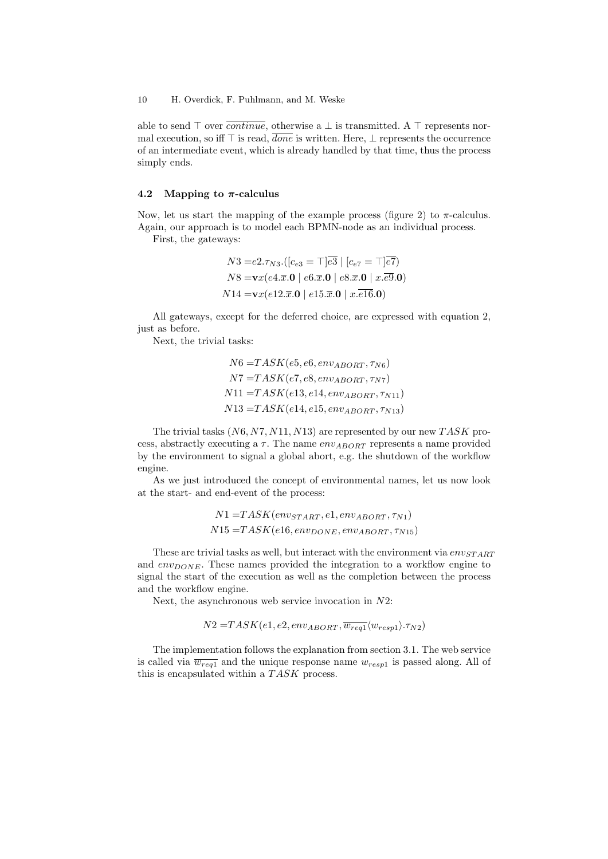able to send  $\top$  over  $\overline{continue}$ , otherwise a  $\bot$  is transmitted. A  $\top$  represents normal execution, so iff  $\top$  is read,  $\overline{done}$  is written. Here,  $\bot$  represents the occurrence of an intermediate event, which is already handled by that time, thus the process simply ends.

#### 4.2 Mapping to  $\pi$ -calculus

Now, let us start the mapping of the example process (figure 2) to  $\pi$ -calculus. Again, our approach is to model each BPMN-node as an individual process.

First, the gateways:

$$
N3 = e2.\tau_{N3}.([c_{e3} = \top] \overline{e3} \mid [c_{e7} = \top] \overline{e7})
$$
  
\n
$$
N8 = \mathbf{v}x(e4.\overline{x}.\mathbf{0} \mid e6.\overline{x}.\mathbf{0} \mid e8.\overline{x}.\mathbf{0} \mid x.\overline{e9}.\mathbf{0})
$$
  
\n
$$
N14 = \mathbf{v}x(e12.\overline{x}.\mathbf{0} \mid e15.\overline{x}.\mathbf{0} \mid x.\overline{e16}.\mathbf{0})
$$

All gateways, except for the deferred choice, are expressed with equation 2, just as before.

Next, the trivial tasks:

$$
N6 = TASK(e5, e6, env_{ABORT}, \tau_{N6})
$$
  
\n
$$
N7 = TASK(e7, e8, env_{ABORT}, \tau_{N7})
$$
  
\n
$$
N11 = TASK(e13, e14, env_{ABORT}, \tau_{N11})
$$
  
\n
$$
N13 = TASK(e14, e15, env_{ABORT}, \tau_{N13})
$$

The trivial tasks  $(N6, N7, N11, N13)$  are represented by our new TASK process, abstractly executing a  $\tau$ . The name env<sub>ABORT</sub> represents a name provided by the environment to signal a global abort, e.g. the shutdown of the workflow engine.

As we just introduced the concept of environmental names, let us now look at the start- and end-event of the process:

$$
N1 = TASK(env_{STAT}, e1, env_{ABORT}, \tau_{N1})
$$
  

$$
N15 = TASK(e16, env_{DONE}, env_{ABORT}, \tau_{N15})
$$

These are trivial tasks as well, but interact with the environment via  $env<sub>START</sub>$ and  $env_{DONE}$ . These names provided the integration to a workflow engine to signal the start of the execution as well as the completion between the process and the workflow engine.

Next, the asynchronous web service invocation in  $N2$ :

$$
N2 = TASK(e1, e2, env_{ABORT}, \overline{w_{req1}} \langle w_{resp1} \rangle. \tau_{N2})
$$

The implementation follows the explanation from section 3.1. The web service is called via  $\overline{w_{req1}}$  and the unique response name  $w_{resp1}$  is passed along. All of this is encapsulated within a  $TASK$  process.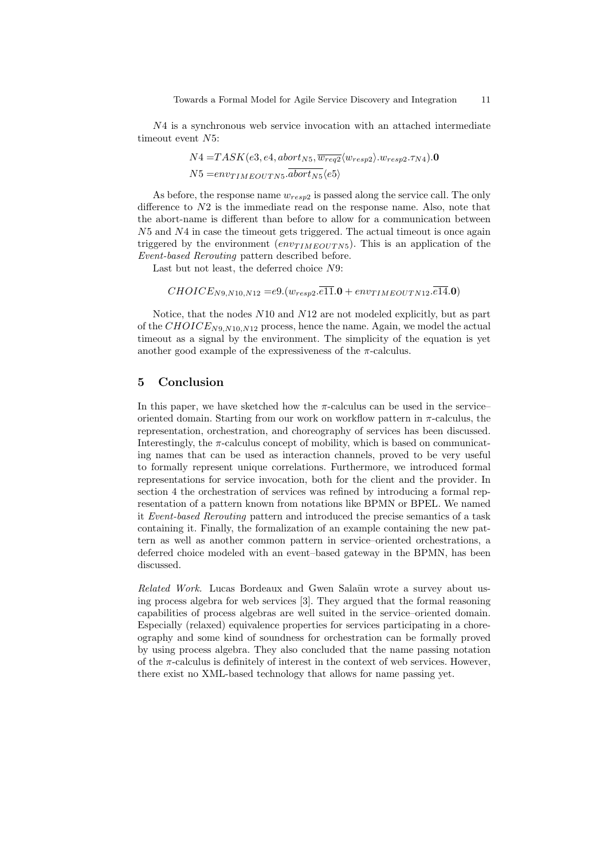N4 is a synchronous web service invocation with an attached intermediate timeout event N5:

$$
N4 = TASK(e3, e4, abort_{NS}, \overline{w_{req2}} \langle w_{resp2} \rangle w_{resp2}.\tau_{N4}).
$$
  

$$
N5 = env_{IMEOUTNs}.\overline{abort_{NS}} \langle e5 \rangle
$$

As before, the response name  $w_{resp2}$  is passed along the service call. The only difference to  $N2$  is the immediate read on the response name. Also, note that the abort-name is different than before to allow for a communication between  $N5$  and  $N4$  in case the timeout gets triggered. The actual timeout is once again triggered by the environment  $\left(\text{env}_{TIMEOUTN5}\right)$ . This is an application of the Event-based Rerouting pattern described before.

Last but not least, the deferred choice N9:

 $CHOICE_{N9,N10,N12} = e9.(w_{resp2}.\overline{e11}.0 + env_{TIMEOUTN12}.\overline{e14}.0)$ 

Notice, that the nodes N10 and N12 are not modeled explicitly, but as part of the  $CHOICE_{N9,N10,N12}$  process, hence the name. Again, we model the actual timeout as a signal by the environment. The simplicity of the equation is yet another good example of the expressiveness of the  $\pi$ -calculus.

## 5 Conclusion

In this paper, we have sketched how the  $\pi$ -calculus can be used in the service– oriented domain. Starting from our work on workflow pattern in  $\pi$ -calculus, the representation, orchestration, and choreography of services has been discussed. Interestingly, the  $\pi$ -calculus concept of mobility, which is based on communicating names that can be used as interaction channels, proved to be very useful to formally represent unique correlations. Furthermore, we introduced formal representations for service invocation, both for the client and the provider. In section 4 the orchestration of services was refined by introducing a formal representation of a pattern known from notations like BPMN or BPEL. We named it Event-based Rerouting pattern and introduced the precise semantics of a task containing it. Finally, the formalization of an example containing the new pattern as well as another common pattern in service–oriented orchestrations, a deferred choice modeled with an event–based gateway in the BPMN, has been discussed.

Related Work. Lucas Bordeaux and Gwen Salaün wrote a survey about using process algebra for web services [3]. They argued that the formal reasoning capabilities of process algebras are well suited in the service–oriented domain. Especially (relaxed) equivalence properties for services participating in a choreography and some kind of soundness for orchestration can be formally proved by using process algebra. They also concluded that the name passing notation of the  $\pi$ -calculus is definitely of interest in the context of web services. However, there exist no XML-based technology that allows for name passing yet.